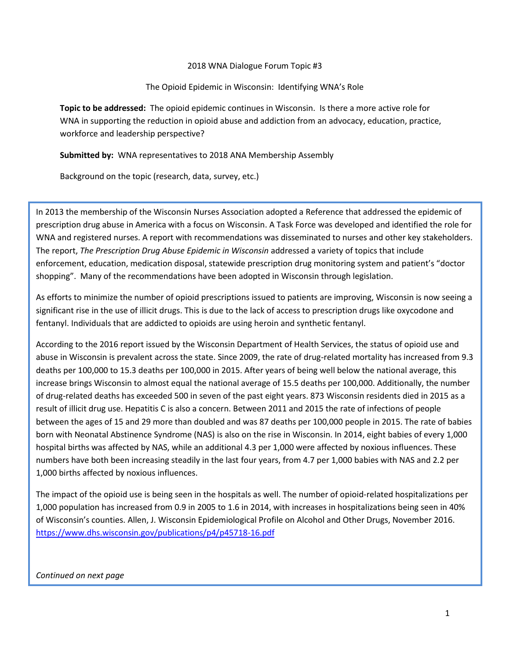## 2018 WNA Dialogue Forum Topic #3

## The Opioid Epidemic in Wisconsin: Identifying WNA's Role

**Topic to be addressed:** The opioid epidemic continues in Wisconsin. Is there a more active role for WNA in supporting the reduction in opioid abuse and addiction from an advocacy, education, practice, workforce and leadership perspective?

**Submitted by:** WNA representatives to 2018 ANA Membership Assembly

Background on the topic (research, data, survey, etc.)

In 2013 the membership of the Wisconsin Nurses Association adopted a Reference that addressed the epidemic of prescription drug abuse in America with a focus on Wisconsin. A Task Force was developed and identified the role for WNA and registered nurses. A report with recommendations was disseminated to nurses and other key stakeholders. The report, *The Prescription Drug Abuse Epidemic in Wisconsin* addressed a variety of topics that include enforcement, education, medication disposal, statewide prescription drug monitoring system and patient's "doctor shopping". Many of the recommendations have been adopted in Wisconsin through legislation.

As efforts to minimize the number of opioid prescriptions issued to patients are improving, Wisconsin is now seeing a significant rise in the use of illicit drugs. This is due to the lack of access to prescription drugs like oxycodone and fentanyl. Individuals that are addicted to opioids are using heroin and synthetic fentanyl.

According to the 2016 report issued by the Wisconsin Department of Health Services, the status of opioid use and abuse in Wisconsin is prevalent across the state. Since 2009, the rate of drug-related mortality has increased from 9.3 deaths per 100,000 to 15.3 deaths per 100,000 in 2015. After years of being well below the national average, this increase brings Wisconsin to almost equal the national average of 15.5 deaths per 100,000. Additionally, the number of drug-related deaths has exceeded 500 in seven of the past eight years. 873 Wisconsin residents died in 2015 as a result of illicit drug use. Hepatitis C is also a concern. Between 2011 and 2015 the rate of infections of people between the ages of 15 and 29 more than doubled and was 87 deaths per 100,000 people in 2015. The rate of babies born with Neonatal Abstinence Syndrome (NAS) is also on the rise in Wisconsin. In 2014, eight babies of every 1,000 hospital births was affected by NAS, while an additional 4.3 per 1,000 were affected by noxious influences. These numbers have both been increasing steadily in the last four years, from 4.7 per 1,000 babies with NAS and 2.2 per 1,000 births affected by noxious influences.

The impact of the opioid use is being seen in the hospitals as well. The number of opioid-related hospitalizations per 1,000 population has increased from 0.9 in 2005 to 1.6 in 2014, with increases in hospitalizations being seen in 40% of Wisconsin's counties. Allen, J. Wisconsin Epidemiological Profile on Alcohol and Other Drugs, November 2016. <https://www.dhs.wisconsin.gov/publications/p4/p45718-16.pdf>

## *Continued on next page*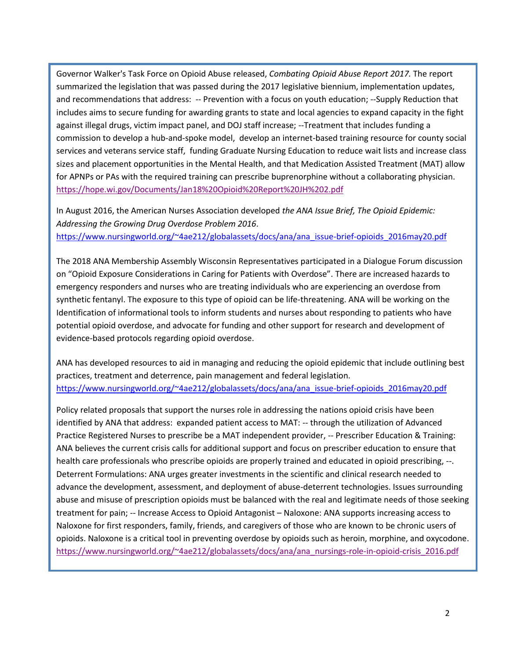Governor Walker's Task Force on Opioid Abuse released, *Combating Opioid Abuse Report 2017.* The report summarized the legislation that was passed during the 2017 legislative biennium, implementation updates, and recommendations that address: -- Prevention with a focus on youth education; --Supply Reduction that includes aims to secure funding for awarding grants to state and local agencies to expand capacity in the fight against illegal drugs, victim impact panel, and DOJ staff increase; --Treatment that includes funding a commission to develop a hub-and-spoke model, develop an internet-based training resource for county social services and veterans service staff, funding Graduate Nursing Education to reduce wait lists and increase class sizes and placement opportunities in the Mental Health, and that Medication Assisted Treatment (MAT) allow for APNPs or PAs with the required training can prescribe buprenorphine without a collaborating physician. <https://hope.wi.gov/Documents/Jan18%20Opioid%20Report%20JH%202.pdf>

In August 2016, the American Nurses Association developed *the ANA Issue Brief, The Opioid Epidemic: Addressing the Growing Drug Overdose Problem 2016*. [https://www.nursingworld.org/~4ae212/globalassets/docs/ana/ana\\_issue-brief-opioids\\_2016may20.pdf](https://www.nursingworld.org/~4ae212/globalassets/docs/ana/ana_issue-brief-opioids_2016may20.pdf)

The 2018 ANA Membership Assembly Wisconsin Representatives participated in a Dialogue Forum discussion on "Opioid Exposure Considerations in Caring for Patients with Overdose". There are increased hazards to emergency responders and nurses who are treating individuals who are experiencing an overdose from synthetic fentanyl. The exposure to this type of opioid can be life-threatening. ANA will be working on the Identification of informational tools to inform students and nurses about responding to patients who have potential opioid overdose, and advocate for funding and other support for research and development of evidence-based protocols regarding opioid overdose.

ANA has developed resources to aid in managing and reducing the opioid epidemic that include outlining best practices, treatment and deterrence, pain management and federal legislation. [https://www.nursingworld.org/~4ae212/globalassets/docs/ana/ana\\_issue-brief-opioids\\_2016may20.pdf](https://www.nursingworld.org/~4ae212/globalassets/docs/ana/ana_issue-brief-opioids_2016may20.pdf)

Policy related proposals that support the nurses role in addressing the nations opioid crisis have been identified by ANA that address: expanded patient access to MAT: -- through the utilization of Advanced Practice Registered Nurses to prescribe be a MAT independent provider, -- Prescriber Education & Training: ANA believes the current crisis calls for additional support and focus on prescriber education to ensure that health care professionals who prescribe opioids are properly trained and educated in opioid prescribing, --. Deterrent Formulations: ANA urges greater investments in the scientific and clinical research needed to advance the development, assessment, and deployment of abuse-deterrent technologies. Issues surrounding abuse and misuse of prescription opioids must be balanced with the real and legitimate needs of those seeking treatment for pain; -- Increase Access to Opioid Antagonist – Naloxone: ANA supports increasing access to Naloxone for first responders, family, friends, and caregivers of those who are known to be chronic users of opioids. Naloxone is a critical tool in preventing overdose by opioids such as heroin, morphine, and oxycodone. [https://www.nursingworld.org/~4ae212/globalassets/docs/ana/ana\\_nursings-role-in-opioid-crisis\\_2016.pdf](https://www.nursingworld.org/~4ae212/globalassets/docs/ana/ana_nursings-role-in-opioid-crisis_2016.pdf)